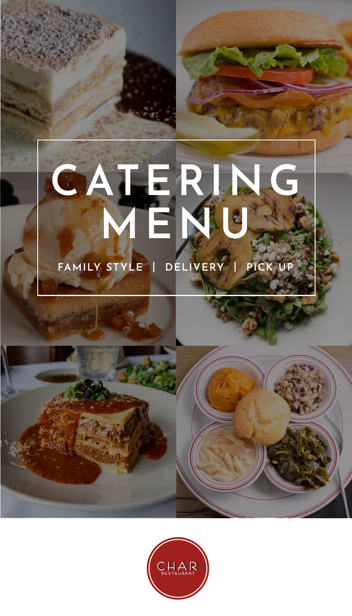# **CATERING MENU FAMILY STYLE | DELIVERY | PICK UP**

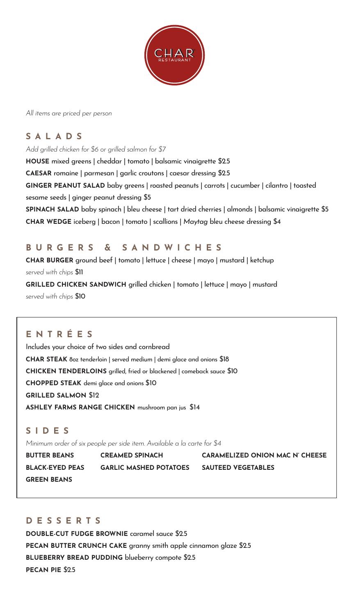

*All items are priced per person*

### **S A L A D S**

*Add grilled chicken for \$6 or grilled salmon for \$7*

**HOUSE** mixed greens | cheddar | tomato | balsamic vinaigrette \$2.5 **CAESAR** romaine | parmesan | garlic croutons | caesar dressing \$2.5 GINGER PEANUT SALAD baby greens | roasted peanuts | carrots | cucumber | cilantro | toasted sesame seeds | ginger peanut dressing \$5 **SPINACH SALAD** baby spinach | bleu cheese | tart dried cherries | almonds | balsamic vinaigrette \$5 **CHAR WEDGE** iceberg | bacon | tomato | scallions | *Maytag* bleu cheese dressing \$4

#### **B U R G E R S & S A N D W I C H E S**

**CHAR BURGER** ground beef | tomato | lettuce | cheese | mayo | mustard | ketchup *served with chips* \$11 **GRILLED CHICKEN SANDWICH** grilled chicken | tomato | lettuce | mayo | mustard *served with chips* \$10

#### **E N T R É E S**

Includes your choice of two sides and cornbread **CHAR STEAK** 8oz tenderloin | served medium | demi glace and onions \$18 **CHICKEN TENDERLOINS** grilled, fried or blackened | comeback sauce \$10 **CHOPPED STEAK** demi glace and onions \$10 **GRILLED SALMON** \$12 **ASHLEY FARMS RANGE CHICKEN** mushroom pan jus \$14

#### **S I D E S**

*Minimum order of six people per side item. Available a la carte for \$4*

**GREEN BEANS**

**BLACK-EYED PEAS GARLIC MASHED POTATOES SAUTEED VEGETABLES**

**BUTTER BEANS CREAMED SPINACH CARAMELIZED ONION MAC N' CHEESE**

#### **D E S S E R T S**

**DOUBLE-CUT FUDGE BROWNIE** caramel sauce \$2.5 **PECAN BUTTER CRUNCH CAKE** granny smith apple cinnamon glaze \$2.5 **BLUEBERRY BREAD PUDDING** blueberry compote \$2.5 **PECAN PIE** \$2.5